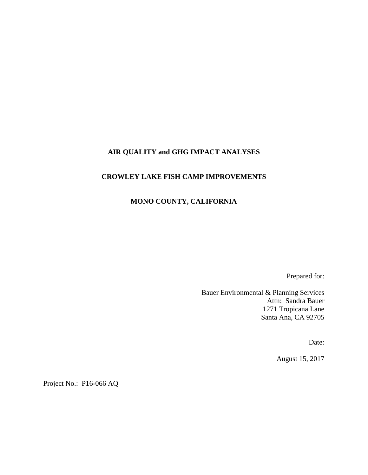## **AIR QUALITY and GHG IMPACT ANALYSES**

### **CROWLEY LAKE FISH CAMP IMPROVEMENTS**

### **MONO COUNTY, CALIFORNIA**

Prepared for:

Bauer Environmental & Planning Services Attn: Sandra Bauer 1271 Tropicana Lane Santa Ana, CA 92705

Date:

August 15, 2017

Project No.: P16-066 AQ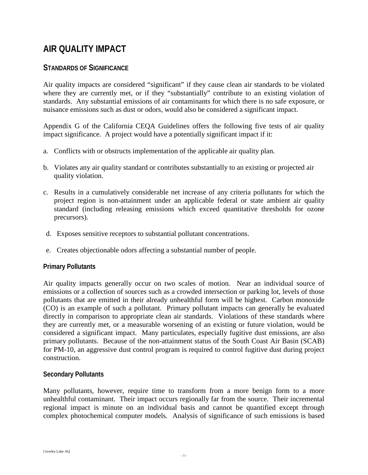## **AIR QUALITY IMPACT**

## **STANDARDS OF SIGNIFICANCE**

Air quality impacts are considered "significant" if they cause clean air standards to be violated where they are currently met, or if they "substantially" contribute to an existing violation of standards. Any substantial emissions of air contaminants for which there is no safe exposure, or nuisance emissions such as dust or odors, would also be considered a significant impact.

Appendix G of the California CEQA Guidelines offers the following five tests of air quality impact significance. A project would have a potentially significant impact if it:

- a. Conflicts with or obstructs implementation of the applicable air quality plan.
- b. Violates any air quality standard or contributes substantially to an existing or projected air quality violation.
- c. Results in a cumulatively considerable net increase of any criteria pollutants for which the project region is non-attainment under an applicable federal or state ambient air quality standard (including releasing emissions which exceed quantitative thresholds for ozone precursors).
- d. Exposes sensitive receptors to substantial pollutant concentrations.
- e. Creates objectionable odors affecting a substantial number of people.

### **Primary Pollutants**

Air quality impacts generally occur on two scales of motion. Near an individual source of emissions or a collection of sources such as a crowded intersection or parking lot, levels of those pollutants that are emitted in their already unhealthful form will be highest. Carbon monoxide (CO) is an example of such a pollutant. Primary pollutant impacts can generally be evaluated directly in comparison to appropriate clean air standards. Violations of these standards where they are currently met, or a measurable worsening of an existing or future violation, would be considered a significant impact. Many particulates, especially fugitive dust emissions, are also primary pollutants. Because of the non-attainment status of the South Coast Air Basin (SCAB) for PM-10, an aggressive dust control program is required to control fugitive dust during project construction.

### **Secondary Pollutants**

Many pollutants, however, require time to transform from a more benign form to a more unhealthful contaminant. Their impact occurs regionally far from the source. Their incremental regional impact is minute on an individual basis and cannot be quantified except through complex photochemical computer models. Analysis of significance of such emissions is based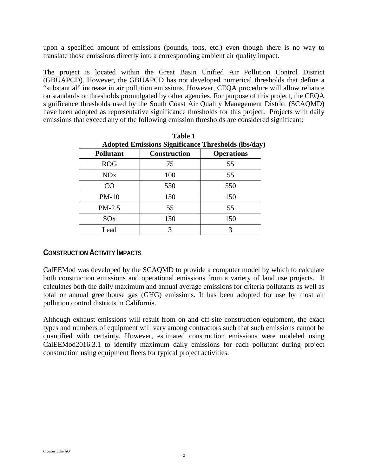upon a specified amount of emissions (pounds, tons, etc.) even though there is no way to translate those emissions directly into a corresponding ambient air quality impact.

The project is located within the Great Basin Unified Air Pollution Control District (GBUAPCD). However, the GBUAPCD has not developed numerical thresholds that define a "substantial" increase in air pollution emissions. However, CEQA procedure will allow reliance on standards or thresholds promulgated by other agencies. For purpose of this project, the CEQA significance thresholds used by the South Coast Air Quality Management District (SCAQMD) have been adopted as representative significance thresholds for this project. Projects with daily emissions that exceed any of the following emission thresholds are considered significant:

| Adopted Emissions Significance Thi esholds (los/day |                     |                   |  |  |  |
|-----------------------------------------------------|---------------------|-------------------|--|--|--|
| <b>Pollutant</b>                                    | <b>Construction</b> | <b>Operations</b> |  |  |  |
| <b>ROG</b>                                          | 75                  | 55                |  |  |  |
| NOx                                                 | 100                 | 55                |  |  |  |
| CO                                                  | 550                 | 550               |  |  |  |
| $PM-10$                                             | 150                 | 150               |  |  |  |
| PM-2.5                                              | 55                  | 55                |  |  |  |
| SOx                                                 | 150                 | 150               |  |  |  |
| Lead                                                | 3                   |                   |  |  |  |

**Table 1 Adopted Emissions Significance Thresholds (lbs/day)**

## **CONSTRUCTION ACTIVITY IMPACTS**

CalEEMod was developed by the SCAQMD to provide a computer model by which to calculate both construction emissions and operational emissions from a variety of land use projects. It calculates both the daily maximum and annual average emissions for criteria pollutants as well as total or annual greenhouse gas (GHG) emissions. It has been adopted for use by most air pollution control districts in California.

Although exhaust emissions will result from on and off-site construction equipment, the exact types and numbers of equipment will vary among contractors such that such emissions cannot be quantified with certainty. However, estimated construction emissions were modeled using CalEEMod2016.3.1 to identify maximum daily emissions for each pollutant during project construction using equipment fleets for typical project activities.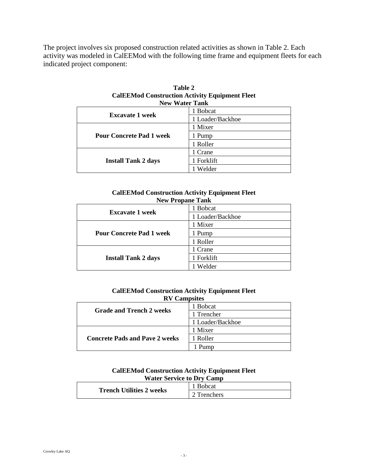The project involves six proposed construction related activities as shown in Table 2. Each activity was modeled in CalEEMod with the following time frame and equipment fleets for each indicated project component:

| <b>New Water Tank</b>           |                  |  |
|---------------------------------|------------------|--|
| <b>Excavate 1 week</b>          | 1 Bobcat         |  |
|                                 | 1 Loader/Backhoe |  |
|                                 | 1 Mixer          |  |
| <b>Pour Concrete Pad 1 week</b> | 1 Pump           |  |
|                                 | 1 Roller         |  |
|                                 | 1 Crane          |  |
| <b>Install Tank 2 days</b>      | 1 Forklift       |  |
|                                 | Welder           |  |

| Table 2                                               |
|-------------------------------------------------------|
| <b>CalEEMod Construction Activity Equipment Fleet</b> |
| New Water Tank                                        |

#### **CalEEMod Construction Activity Equipment Fleet New Propane Tank**

| $11011$ Lephane Fann            |                  |  |  |
|---------------------------------|------------------|--|--|
| <b>Excavate 1 week</b>          | 1 Bobcat         |  |  |
|                                 | 1 Loader/Backhoe |  |  |
|                                 | 1 Mixer          |  |  |
| <b>Pour Concrete Pad 1 week</b> | 1 Pump           |  |  |
|                                 | 1 Roller         |  |  |
|                                 | 1 Crane          |  |  |
| <b>Install Tank 2 days</b>      | 1 Forklift       |  |  |
|                                 | Welder           |  |  |

#### **CalEEMod Construction Activity Equipment Fleet RV Campsites**

| <b>Grade and Trench 2 weeks</b>       | 1 Bobcat         |
|---------------------------------------|------------------|
|                                       | 1 Trencher       |
|                                       | 1 Loader/Backhoe |
|                                       | 1 Mixer          |
| <b>Concrete Pads and Pave 2 weeks</b> | 1 Roller         |
|                                       |                  |

#### **CalEEMod Construction Activity Equipment Fleet Water Service to Dry Camp**

|                                 | <b>B</b> obcat     |
|---------------------------------|--------------------|
| <b>Trench Utilities 2 weeks</b> | $\gamma$ Trenchers |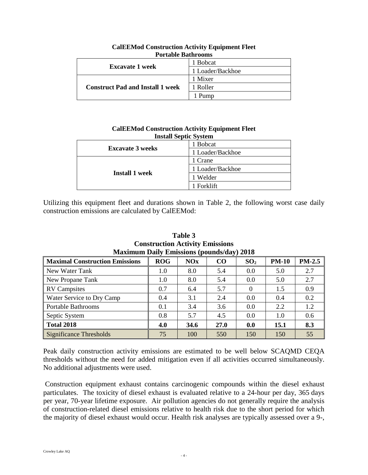| POPULADIE D'AULTOOILIS                  |                  |  |
|-----------------------------------------|------------------|--|
|                                         | <b>B</b> obcat   |  |
| <b>Excavate 1 week</b>                  | 1 Loader/Backhoe |  |
|                                         | 1 Mixer          |  |
| <b>Construct Pad and Install 1 week</b> | 1 Roller         |  |
|                                         | Pump             |  |

**CalEEMod Construction Activity Equipment Fleet Portable Bathrooms**

| <b>Install Septic System</b> |                  |  |
|------------------------------|------------------|--|
| <b>Excavate 3 weeks</b>      | 1 Bobcat         |  |
|                              | 1 Loader/Backhoe |  |
| <b>Install 1 week</b>        | 1 Crane          |  |
|                              | 1 Loader/Backhoe |  |
|                              | 1 Welder         |  |
|                              | 1 Forklift       |  |

**CalEEMod Construction Activity Equipment Fleet** 

Utilizing this equipment fleet and durations shown in Table 2, the following worst case daily construction emissions are calculated by CalEEMod:

| Maximum Daily Emissions (pounds/day) 2018 |     |            |      |                 |              |        |
|-------------------------------------------|-----|------------|------|-----------------|--------------|--------|
| <b>Maximal Construction Emissions</b>     | ROG | <b>NOx</b> | CO   | SO <sub>2</sub> | <b>PM-10</b> | PM-2.5 |
| New Water Tank                            | 1.0 | 8.0        | 5.4  | 0.0             | 5.0          | 2.7    |
| New Propane Tank                          | 1.0 | 8.0        | 5.4  | 0.0             | 5.0          | 2.7    |
| <b>RV</b> Campsites                       | 0.7 | 6.4        | 5.7  | $\Omega$        | 1.5          | 0.9    |
| Water Service to Dry Camp                 | 0.4 | 3.1        | 2.4  | 0.0             | 0.4          | 0.2    |
| Portable Bathrooms                        | 0.1 | 3.4        | 3.6  | 0.0             | 2.2          | 1.2    |
| Septic System                             | 0.8 | 5.7        | 4.5  | 0.0             | 1.0          | 0.6    |
| <b>Total 2018</b>                         | 4.0 | 34.6       | 27.0 | 0.0             | 15.1         | 8.3    |
| <b>Significance Thresholds</b>            | 75  | 100        | 550  | 150             | 150          | 55     |

**Table 3 Construction Activity Emissions Maximum Daily Emissions (pounds/day) 2018**

Peak daily construction activity emissions are estimated to be well below SCAQMD CEQA thresholds without the need for added mitigation even if all activities occurred simultaneously. No additional adjustments were used.

Construction equipment exhaust contains carcinogenic compounds within the diesel exhaust particulates. The toxicity of diesel exhaust is evaluated relative to a 24-hour per day, 365 days per year, 70-year lifetime exposure. Air pollution agencies do not generally require the analysis of construction-related diesel emissions relative to health risk due to the short period for which the majority of diesel exhaust would occur. Health risk analyses are typically assessed over a 9-,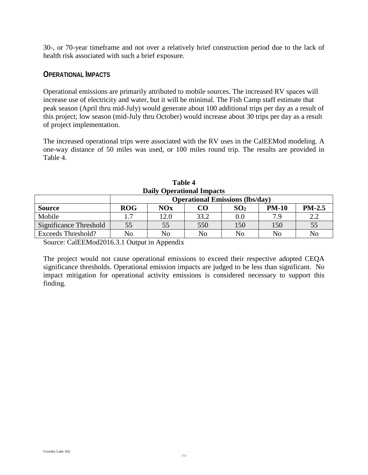30-, or 70-year timeframe and not over a relatively brief construction period due to the lack of health risk associated with such a brief exposure.

## **OPERATIONAL IMPACTS**

Operational emissions are primarily attributed to mobile sources. The increased RV spaces will increase use of electricity and water, but it will be minimal. The Fish Camp staff estimate that peak season (April thru mid-July) would generate about 100 additional trips per day as a result of this project; low season (mid-July thru October) would increase about 30 trips per day as a result of project implementation.

The increased operational trips were associated with the RV uses in the CalEEMod modeling. A one-way distance of 50 miles was used, or 100 miles round trip. The results are provided in Table 4.

| <b>Daily Operational Impacts</b> |                                        |      |                 |              |          |
|----------------------------------|----------------------------------------|------|-----------------|--------------|----------|
|                                  | <b>Operational Emissions (lbs/day)</b> |      |                 |              |          |
| <b>ROG</b>                       | NOx                                    | CΟ   | SO <sub>2</sub> | <b>PM-10</b> | $PM-2.5$ |
| $\mathcal{I}$                    | 12.0                                   | 33.2 | $0.0\,$         | 7 9          | 2.2      |
| 55                               | 55                                     | 550  | 150             | 150          | 55       |
| No                               | N <sub>0</sub>                         | No   | No              | No           | No       |
|                                  |                                        |      |                 |              |          |

| <b>Table 4</b>                   |  |
|----------------------------------|--|
| <b>Daily Operational Impacts</b> |  |

Source: CalEEMod2016.3.1 Output in Appendix

The project would not cause operational emissions to exceed their respective adopted CEQA significance thresholds. Operational emission impacts are judged to be less than significant. No impact mitigation for operational activity emissions is considered necessary to support this finding.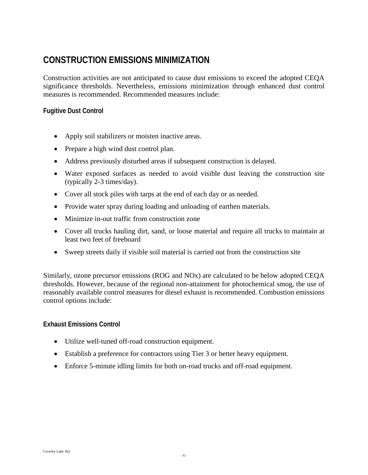## **CONSTRUCTION EMISSIONS MINIMIZATION**

Construction activities are not anticipated to cause dust emissions to exceed the adopted CEQA significance thresholds. Nevertheless, emissions minimization through enhanced dust control measures is recommended. Recommended measures include:

### **Fugitive Dust Control**

- Apply soil stabilizers or moisten inactive areas.
- Prepare a high wind dust control plan.
- Address previously disturbed areas if subsequent construction is delayed.
- Water exposed surfaces as needed to avoid visible dust leaving the construction site (typically 2-3 times/day).
- Cover all stock piles with tarps at the end of each day or as needed.
- Provide water spray during loading and unloading of earthen materials.
- Minimize in-out traffic from construction zone
- Cover all trucks hauling dirt, sand, or loose material and require all trucks to maintain at least two feet of freeboard
- Sweep streets daily if visible soil material is carried out from the construction site

Similarly, ozone precursor emissions (ROG and NOx) are calculated to be below adopted CEQA thresholds. However, because of the regional non-attainment for photochemical smog, the use of reasonably available control measures for diesel exhaust is recommended. Combustion emissions control options include:

### **Exhaust Emissions Control**

- Utilize well-tuned off-road construction equipment.
- Establish a preference for contractors using Tier 3 or better heavy equipment.
- Enforce 5-minute idling limits for both on-road trucks and off-road equipment.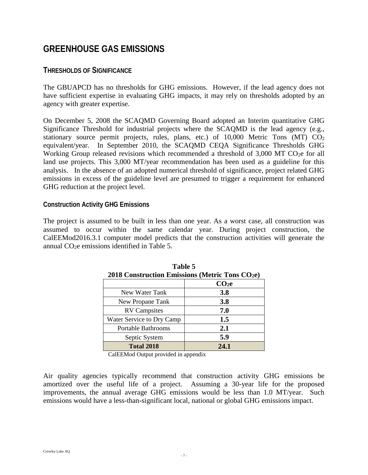## **GREENHOUSE GAS EMISSIONS**

## **THRESHOLDS OF SIGNIFICANCE**

The GBUAPCD has no thresholds for GHG emissions. However, if the lead agency does not have sufficient expertise in evaluating GHG impacts, it may rely on thresholds adopted by an agency with greater expertise.

On December 5, 2008 the SCAQMD Governing Board adopted an Interim quantitative GHG Significance Threshold for industrial projects where the SCAQMD is the lead agency (e.g., stationary source permit projects, rules, plans, etc.) of  $10,000$  Metric Tons (MT)  $CO<sub>2</sub>$ equivalent/year. In September 2010, the SCAQMD CEQA Significance Thresholds GHG Working Group released revisions which recommended a threshold of 3,000 MT CO<sub>2</sub>e for all land use projects. This 3,000 MT/year recommendation has been used as a guideline for this analysis. In the absence of an adopted numerical threshold of significance, project related GHG emissions in excess of the guideline level are presumed to trigger a requirement for enhanced GHG reduction at the project level.

### **Construction Activity GHG Emissions**

The project is assumed to be built in less than one year. As a worst case, all construction was assumed to occur within the same calendar year. During project construction, the CalEEMod2016.3.1 computer model predicts that the construction activities will generate the annual  $CO<sub>2</sub>e$  emissions identified in Table 5.

| 2018 Construction Emissions (Metric Tons CO2e) |                   |  |  |
|------------------------------------------------|-------------------|--|--|
|                                                | CO <sub>2</sub> e |  |  |
| New Water Tank                                 | <b>3.8</b>        |  |  |
| New Propane Tank                               | 3.8               |  |  |
| <b>RV</b> Campsites                            | 7.0               |  |  |
| Water Service to Dry Camp                      | 1.5               |  |  |
| <b>Portable Bathrooms</b>                      | 2.1               |  |  |
| Septic System                                  | 5.9               |  |  |
| <b>Total 2018</b>                              | 24.1              |  |  |

| Table 5                                                     |
|-------------------------------------------------------------|
| 2018 Construction Emissions (Metric Tons CO <sub>2</sub> e) |

CalEEMod Output provided in appendix

Air quality agencies typically recommend that construction activity GHG emissions be amortized over the useful life of a project. Assuming a 30-year life for the proposed improvements, the annual average GHG emissions would be less than 1.0 MT/year. Such emissions would have a less-than-significant local, national or global GHG emissions impact.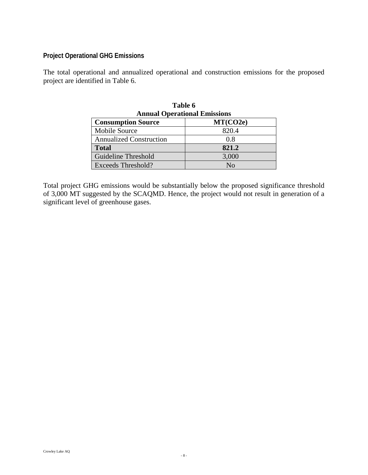## **Project Operational GHG Emissions**

The total operational and annualized operational and construction emissions for the proposed project are identified in Table 6.

| Table 6<br><b>Annual Operational Emissions</b> |              |  |
|------------------------------------------------|--------------|--|
| <b>Consumption Source</b>                      | MT(CO2e)     |  |
| <b>Mobile Source</b>                           | 820.4        |  |
| <b>Annualized Construction</b>                 | 0.8          |  |
| <b>Total</b>                                   | 821.2        |  |
| Guideline Threshold                            | 3,000        |  |
| Exceeds Threshold?                             | $N_{\Omega}$ |  |

Total project GHG emissions would be substantially below the proposed significance threshold of 3,000 MT suggested by the SCAQMD. Hence, the project would not result in generation of a significant level of greenhouse gases.